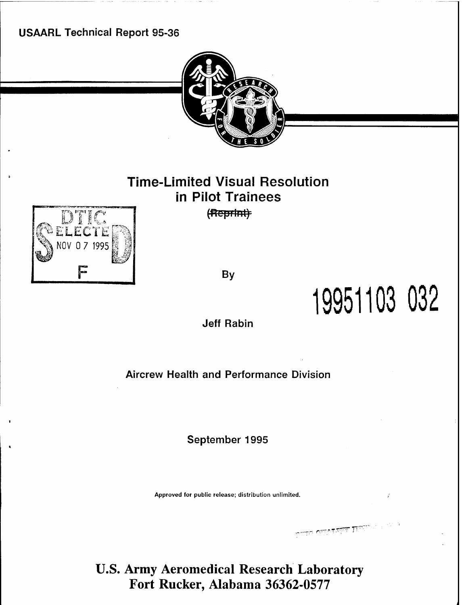**USAARL Technical Report 95-36**



# **Time-Limited Visual Resolution in Pilot Trainees** (Reprint)



**By**

**19951103 032**

 $\overline{\text{L}}$  and  $\overline{\text{L}}$   $\overline{\text{L}}$   $\overline{\text{L}}$   $\overline{\text{L}}$   $\overline{\text{L}}$   $\overline{\text{L}}$   $\overline{\text{L}}$   $\overline{\text{L}}$   $\overline{\text{L}}$   $\overline{\text{L}}$   $\overline{\text{L}}$   $\overline{\text{L}}$   $\overline{\text{L}}$   $\overline{\text{L}}$   $\overline{\text{L}}$   $\overline{\text{L}}$   $\overline{\text{L}}$   $\overline{\text{L}}$   $\overline{\text{L$ 

**Jeff Rabin**

**Aircrew Health and Performance Division**

**September 1995**

Approved for public release; distribution unlimited.

**U.S. Army Aeromedical Research Laboratory Fort Rucker, Alabama 36362-0577**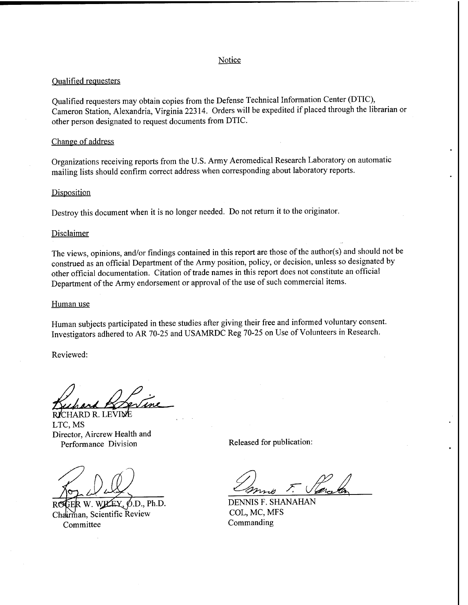## Notice

# Qualified requesters

Qualified requesters may obtain copies from the Defense Technical Information Center (DTIC), Cameron Station, Alexandria, Virginia 22314. Orders will be expedited if placed through the librarian or other person designated to request documents from DTIC.

## Change of address

Organizations receiving reports from the U.S. Army Aeromedical Research Laboratory on automatic mailing lists should confirm correct address when corresponding about laboratory reports.

## **Disposition**

Destroy this document when it is no longer needed. Do not return it to the originator.

## Disclaimer

The views, opinions, and/or findings contained in this report are those of the author(s) and should not be construed as an official Department of the Army position, policy, or decision, unless so designated by other official documentation. Citation of trade names in this report does not constitute an official Department of the Army endorsement or approval of the use of such commercial items.

## Human use

Human subjects participated in these studies after giving their free and informed voluntary consent. Investigators adhered to AR 70-25 and USAMRDC Reg 70-25 on Use of Volunteers in Research.

Reviewed:

RICHARD R. LEVIME LTC, MS Director, Aircrew Health and Performance Division Released for publication:

Chalirman, Scientific Review COL, MC, M<br>Committee Commanding Committee

*-&?n^e> S;*

W. WHEY, O.D., Ph.D. DENNIS F. SHANAHAN<br>n Scientific Review COL, MC, MFS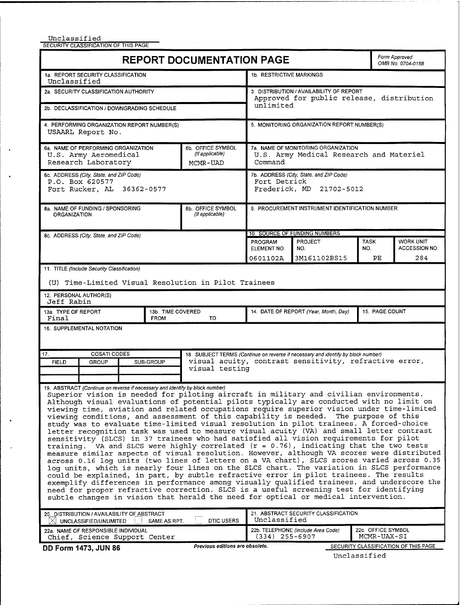Unclassified

 $\bullet$ 

 $\ddot{\phantom{1}}$ 

 $\ddot{\phantom{0}}$ 

 $\overline{a}$ 

SECURITY CLASSIFICATION OF THIS PAGE

|                                                                                                                                                                                                                                                                                                                                                                                                                                                                                                                                                                                                                                                                                                                                                                                                                                                                                                                                                                                                                                                                                                                                                                                                                                                                                                                                                                                                                                                                                                        | <b>REPORT DOCUMENTATION PAGE</b>     |                                                                                     |                                                                                                    |                                                                                                                                             | Form Approved<br>OMB No. 0704-0188 |                                      |  |  |
|--------------------------------------------------------------------------------------------------------------------------------------------------------------------------------------------------------------------------------------------------------------------------------------------------------------------------------------------------------------------------------------------------------------------------------------------------------------------------------------------------------------------------------------------------------------------------------------------------------------------------------------------------------------------------------------------------------------------------------------------------------------------------------------------------------------------------------------------------------------------------------------------------------------------------------------------------------------------------------------------------------------------------------------------------------------------------------------------------------------------------------------------------------------------------------------------------------------------------------------------------------------------------------------------------------------------------------------------------------------------------------------------------------------------------------------------------------------------------------------------------------|--------------------------------------|-------------------------------------------------------------------------------------|----------------------------------------------------------------------------------------------------|---------------------------------------------------------------------------------------------------------------------------------------------|------------------------------------|--------------------------------------|--|--|
| 1a. REPORT SECURITY CLASSIFICATION<br>Unclassified                                                                                                                                                                                                                                                                                                                                                                                                                                                                                                                                                                                                                                                                                                                                                                                                                                                                                                                                                                                                                                                                                                                                                                                                                                                                                                                                                                                                                                                     | 1b. RESTRICTIVE MARKINGS             |                                                                                     |                                                                                                    |                                                                                                                                             |                                    |                                      |  |  |
| 2a. SECURITY CLASSIFICATION AUTHORITY                                                                                                                                                                                                                                                                                                                                                                                                                                                                                                                                                                                                                                                                                                                                                                                                                                                                                                                                                                                                                                                                                                                                                                                                                                                                                                                                                                                                                                                                  |                                      |                                                                                     | 3. DISTRIBUTION / AVAILABILITY OF REPORT<br>Approved for public release, distribution<br>unlimited |                                                                                                                                             |                                    |                                      |  |  |
| 2b. DECLASSIFICATION / DOWNGRADING SCHEDULE                                                                                                                                                                                                                                                                                                                                                                                                                                                                                                                                                                                                                                                                                                                                                                                                                                                                                                                                                                                                                                                                                                                                                                                                                                                                                                                                                                                                                                                            |                                      |                                                                                     |                                                                                                    |                                                                                                                                             |                                    |                                      |  |  |
| 4. PERFORMING ORGANIZATION REPORT NUMBER(S)<br>USAARL Report No.                                                                                                                                                                                                                                                                                                                                                                                                                                                                                                                                                                                                                                                                                                                                                                                                                                                                                                                                                                                                                                                                                                                                                                                                                                                                                                                                                                                                                                       |                                      | 5. MONITORING ORGANIZATION REPORT NUMBER(S)                                         |                                                                                                    |                                                                                                                                             |                                    |                                      |  |  |
| 6a. NAME OF PERFORMING ORGANIZATION<br>U.S. Army Aeromedical<br>Research Laboratory                                                                                                                                                                                                                                                                                                                                                                                                                                                                                                                                                                                                                                                                                                                                                                                                                                                                                                                                                                                                                                                                                                                                                                                                                                                                                                                                                                                                                    |                                      | 6b. OFFICE SYMBOL<br>(If applicable)<br>MCMR-UAD                                    | 7a. NAME OF MONITORING ORGANIZATION<br>U.S. Army Medical Research and Materiel<br>Command          |                                                                                                                                             |                                    |                                      |  |  |
| 6c. ADDRESS (City, State, and ZIP Code)<br>P.O. Box 620577<br>Fort Rucker, AL 36362-0577                                                                                                                                                                                                                                                                                                                                                                                                                                                                                                                                                                                                                                                                                                                                                                                                                                                                                                                                                                                                                                                                                                                                                                                                                                                                                                                                                                                                               |                                      | 7b. ADDRESS (City, State, and ZIP Code)<br>Fort Detrick<br>Frederick, MD 21702-5012 |                                                                                                    |                                                                                                                                             |                                    |                                      |  |  |
| 8a. NAME OF FUNDING / SPONSORING<br><b>ORGANIZATION</b>                                                                                                                                                                                                                                                                                                                                                                                                                                                                                                                                                                                                                                                                                                                                                                                                                                                                                                                                                                                                                                                                                                                                                                                                                                                                                                                                                                                                                                                | 8b. OFFICE SYMBOL<br>(If applicable) | 9. PROCUREMENT INSTRUMENT IDENTIFICATION NUMBER                                     |                                                                                                    |                                                                                                                                             |                                    |                                      |  |  |
| 8c. ADDRESS (City, State, and ZIP Code)                                                                                                                                                                                                                                                                                                                                                                                                                                                                                                                                                                                                                                                                                                                                                                                                                                                                                                                                                                                                                                                                                                                                                                                                                                                                                                                                                                                                                                                                |                                      |                                                                                     |                                                                                                    | 10. SOURCE OF FUNDING NUMBERS                                                                                                               |                                    |                                      |  |  |
|                                                                                                                                                                                                                                                                                                                                                                                                                                                                                                                                                                                                                                                                                                                                                                                                                                                                                                                                                                                                                                                                                                                                                                                                                                                                                                                                                                                                                                                                                                        |                                      |                                                                                     | <b>PROGRAM</b><br>ELEMENT NO.                                                                      | PROJECT<br>NO.                                                                                                                              | <b>TASK</b><br>NO.                 | <b>WORK UNIT</b><br>ACCESSION NO.    |  |  |
|                                                                                                                                                                                                                                                                                                                                                                                                                                                                                                                                                                                                                                                                                                                                                                                                                                                                                                                                                                                                                                                                                                                                                                                                                                                                                                                                                                                                                                                                                                        |                                      |                                                                                     | 0601102A                                                                                           | 3M161102BS15                                                                                                                                | PE                                 | 284                                  |  |  |
| (U) Time-Limited Visual Resolution in Pilot Trainees<br>12. PERSONAL AUTHOR(S)<br>Jeff Rabin<br>13a. TYPE OF REPORT<br>Final<br>16. SUPPLEMENTAL NOTATION                                                                                                                                                                                                                                                                                                                                                                                                                                                                                                                                                                                                                                                                                                                                                                                                                                                                                                                                                                                                                                                                                                                                                                                                                                                                                                                                              | 13b. TIME COVERED<br><b>FROM</b>     | <b>TO</b>                                                                           |                                                                                                    | 14. DATE OF REPORT (Year, Month, Day)                                                                                                       |                                    | 15. PAGE COUNT                       |  |  |
| 17.<br><b>COSATI CODES</b><br>SUB-GROUP<br><b>FIELD</b><br>GROUP                                                                                                                                                                                                                                                                                                                                                                                                                                                                                                                                                                                                                                                                                                                                                                                                                                                                                                                                                                                                                                                                                                                                                                                                                                                                                                                                                                                                                                       |                                      | visual testing                                                                      |                                                                                                    | 18. SUBJECT TERMS (Continue on reverse if necessary and identify by block number)<br>visual acuity, contrast sensitivity, refractive error, |                                    |                                      |  |  |
| 19. ABSTRACT (Continue on reverse if necessary and identify by block number)<br>Superior vision is needed for piloting aircraft in military and civilian environments.<br>Although visual evaluations of potential pilots typically are conducted with no limit on<br>viewing time, aviation and related occupations require superior vision under time-limited<br>viewing conditions, and assessment of this capability is needed. The purpose of this<br>study was to evaluate time-limited visual resolution in pilot trainees. A forced-choice<br>letter recognition task was used to measure visual acuity (VA) and small letter contrast<br>sensitivity (SLCS) in 37 trainees who had satisfied all vision requirements for pilot<br>training. VA and SLCS were highly correlated $(r = 0.76)$ , indicating that the two tests<br>measure similar aspects of visual resolution. However, although VA scores were distributed<br>across 0.16 log units (two lines of letters on a VA chart), SLCS scores varied across 0.35<br>log units, which is nearly four lines on the SLCS chart. The variation in SLCS performance<br>could be explained, in part, by subtle refractive error in pilot trainees. The results<br>exemplify differences in performance among visually qualified trainees, and underscore the<br>need for proper refractive correction. SLCS is a useful screening test for identifying<br>subtle changes in vision that herald the need for optical or medical intervention. |                                      |                                                                                     |                                                                                                    |                                                                                                                                             |                                    |                                      |  |  |
| 20. DISTRIBUTION / AVAILABILITY OF ABSTRACT<br>$ \times $ UNCLASSIFIED/UNLIMITED                                                                                                                                                                                                                                                                                                                                                                                                                                                                                                                                                                                                                                                                                                                                                                                                                                                                                                                                                                                                                                                                                                                                                                                                                                                                                                                                                                                                                       | SAME AS RPT.                         | <b>DTIC USERS</b>                                                                   | Unclassified                                                                                       | 21. ABSTRACT SECURITY CLASSIFICATION                                                                                                        |                                    |                                      |  |  |
| 22a. NAME OF RESPONSIBLE INDIVIDUAL<br>Chief, Science Support Center                                                                                                                                                                                                                                                                                                                                                                                                                                                                                                                                                                                                                                                                                                                                                                                                                                                                                                                                                                                                                                                                                                                                                                                                                                                                                                                                                                                                                                   |                                      |                                                                                     | (334) 255-6907                                                                                     | 22b. TELEPHONE (Include Area Code)                                                                                                          |                                    | 22c. OFFICE SYMBOL<br>MCMR-UAX-SI    |  |  |
| <b>DD Form 1473, JUN 86</b>                                                                                                                                                                                                                                                                                                                                                                                                                                                                                                                                                                                                                                                                                                                                                                                                                                                                                                                                                                                                                                                                                                                                                                                                                                                                                                                                                                                                                                                                            |                                      | Previous editions are obsolete.                                                     |                                                                                                    |                                                                                                                                             |                                    | SECURITY CLASSIFICATION OF THIS PAGE |  |  |

Unclassified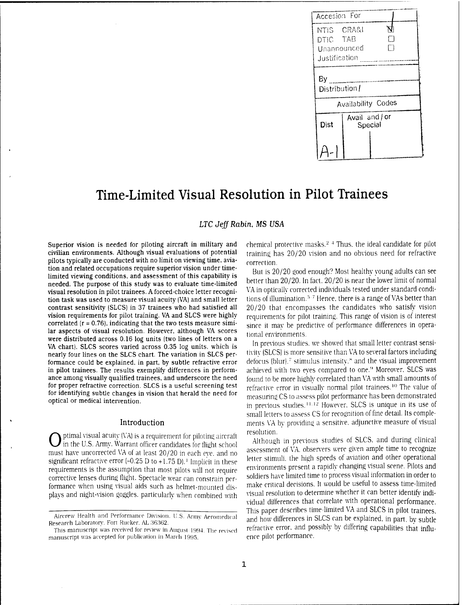

# Time-Limited Visual Resolution in Pilot Trainees

# *LTC Jeff Rabin,* **MS USA**

**Superior vision is needed for piloting aircraft in military and civilian environments. Although visual evaluations of potential pilots typically are conducted with no limit on viewing time, aviation and related occupations require superior vision under timelimited viewing conditions, and assessment of this capability is needed. The purpose of this study was to evaluate time-limited visual resolution in pilot trainees. A forced-choice letter recognition task was used to measure visual acuity (VA) and small letter contrast sensitivity (SLCS) in 37 trainees who had satisfied all vision requirements for pilot training. VA and SLCS were highly correlated (r <sup>=</sup> 0.76), indicating that the two tests measure similar aspects of visual resolution. However, although VA scores were distributed across 0.16 log units (two lines of letters** on **a VA chart), SLCS scores varied across 0.35 log units, which is nearly four lines on the SLCS chart. The variation in SLCS performance could be explained, in part, by subtle refractive error in pilot trainees. The results exemplify differences in performance among visually qualified trainees, and underscore the need for proper refractive correction. SLCS is** a **useful screening test for identifying subtle changes in vision that herald the need for optical or medical intervention.**

### **Introduction**

ptimal visual acuity (VA) is a requirement for piloting aircraft in the U.S. Army. Warrant officer candidates for flight school must have uncorrected VA of at least 20/20 in each eve. and no significant refractive error  $(-0.25 \text{ D to } +1.75 \text{ D})$ .<sup>1</sup> Implicit in these requirements is the assumption that most pilots will not require corrective lenses during flight. Spectacle wear can constrain performance when using visual aids such as helmet-mounted displays and night-vision goggles, particularly when combined with chemical protective masks.<sup>2</sup> <sup>4</sup> Thus, the ideal candidate for pilot training has 20/20 vision and no obvious need for refractive correction.

But is 20/20 good enough? Most healthy young adults can see better than 20/20. In fact. 20/20 is near the lower limit of normal VA in optically corrected individuals tested under standard conditions of illumination.<sup>5-7</sup> Hence, there is a range of VAs better than 20/20 that encompasses the candidates who satisfy vision requirements for pilot training. This range of vision is of interest since it mav be predictive of performance differences in operational environments.

In previous studies, we showed that small letter contrast sensitivity (SLCS) is more sensitive than VA to several factors including defocus (blur).<sup>7</sup> stimulus intensity.<sup>8</sup> and the visual improvement achieved with two eyes compared to one.<sup>9</sup> Moreover. SLCS was found to be more highly correlated than VA with small amounts of refractive error in visually normal pilot trainees.<sup>10</sup> The value of measuring CS to assess pilot performance has been demonstrated in previous studies.<sup>11.12</sup> However. SLCS is unique in its use of small letters to assess CS for recognition of fine detail. Its complements VA by providing a sensitive, adjunctive measure of visual resolution.

Although in previous studies of SLCS. and during clinical assessment of YA. observers were given ample time to recognize letter stimuli, the high speeds of aviation and other operational environments present a rapidly changing visual scene. Pilots and soldiers have limited time to process visual information in order to make critical decisions. It would be useful to assess time-limited visual resolution to determine whether it can better identify individual differences that correlate with operational performance. This paper describes time-limited VA and SLCS in pilot trainees, and how differences in SLCS can be explained, in part, by subtle refractive error, and possibly by differing capabilities that influence pilot performance.

Aircrew Health and Performance Division. U.S. Army Aeromedical Research Laboratory. Fort Rucker. AL 36362.

This manuscript was received for review in August 1994. The revised manuscript was accepted for publication in March 1995.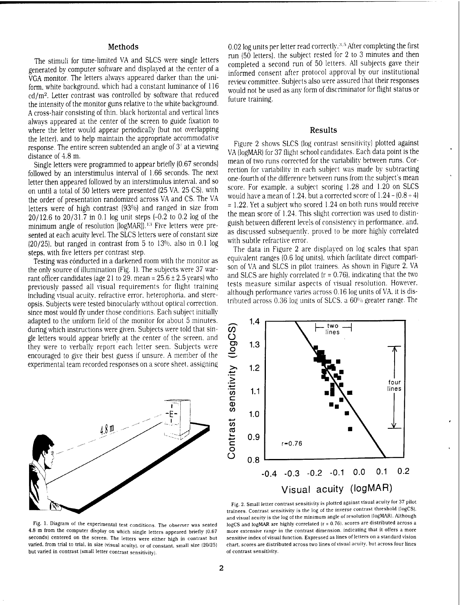## Methods

The stimuli for time-limited VA and SLCS were single letters generated by computer software and displayed at the center of a VGA monitor. The letters always appeared darker than the uniform, white background, which had a constant luminance of 116 cd/m<sup>2</sup> . Letter contrast was controlled by software that reduced the intensity of the monitor guns relative to the white background. A cross-hair consisting of thin, black horizontal and vertical lines always appeared at the center of the screen to guide fixation to where the letter would appear periodically (but not overlapping the letter), and to help maintain the appropriate accommodative response. The entire screen subtended an angle of  $3^\circ$  at a viewing distance of 4.8 m.

Single letters were programmed to appear briefly (0.67 seconds) followed by an interstimulus interval of 1.66 seconds. The next letter then appeared followed by an interstimulus interval, and so on until a total of 50 letters were presented (25 VA. 25 CS). with the order of presentation randomized across VA and CS. The VA letters were of high contrast (93%) and ranged in size from  $20/12.6$  to  $20/31.7$  in 0.1 log unit steps  $(-0.2 \text{ to } 0.2 \text{ log of the})$ **EVALUATE:** 1996 The Terminian Congola Report of Terminimum angle of resolution [logMAR]).<sup>13</sup> Five letters were presented at each acuity level. The SLCS letters were of constant size (20/25). but ranged in contrast from 5 to 13%. also in 0.1 log steps, with five letters per contrast step.

Testing was conducted in a darkened room with the monitor as the only source of illumination (Fig. 1). The subjects were 37 warrant officer candidates (age 21 to 29. mean =  $25.6 \pm 2.5$  years) who previously passed all visual requirements for flight training including visual acuity, refractive error, heterophoria, and stereopsis. Subjects were tested binocularly without optical correction, since most would fly under those conditions. Each subject initially adapted to the uniform field of the monitor for about 5 minutes, during which instructions were given. Subjects were told that single letters would appear briefly at the center of the screen, and they were to verbally report each letter seen. Subjects were encouraged to give their best guess if unsure. A member of the experimental team recorded responses on a score sheet, assigning



0.02 log units per letter read correctly.<sup>3,5</sup> After completing the first run (50 letters), the subject rested for 2 to 3 minutes and then completed a second run of 50 letters. All subjects gave their informed consent after protocol approval by our institutional review committee. Subjects also were assured that their responses would not be used as any form of discriminator for flight status or future training.

## Results

Figure 2 shows SLCS (log contrast sensitivity) plotted against VA (logMAR) for 37 flight school candidates. Each data point is the mean of two runs corrected for the variability between runs. Correction for variability in each subject was made by subtracting one-fourth of the difference between runs from the subject's mean score. For example, a subject scoring 1.28 and 1.20 on SLCS would have a mean of 1.24, but a corrected score of  $1.24 - (0.8 + 4)$ <sup>=</sup> 1.22. Yet a subject who scored 1.24 on both runs would receive the mean score of 1.24. This slight correction was used to distinguish between different levels of consistency in performance, and. as discussed subsequently, proved to be more highly correlated with subtle refractive error.

The data in Figure 2 are displayed on log scales that span equivalent ranges (0.6 log units), which facilitate direct comparison of VA and SLCS in pilot trainees. As shown in Figure 2. VA and SLCS are highly correlated  $(r = 0.76)$ . indicating that the two tests measure similar aspects of visual resolution. However, although performance varies across 0.16 log units of VA. it is distributed across 0.36 log units of SLCS. a 60% greater range. The



Fig. 2. Small letter contrast sensitivity is plotted against visual acuity for 37 pilot trainees. Contrast sensitivity is the log of the inverse contrast threshold (logCS). and visual acuity is the log of the minimum angle of resolution (logMAR). Although logCS and logMAR are highly correlated (r <sup>=</sup> 0.76). scores are distributed across a more extensive range in the contrast dimension, indicating that it offers a more sensitive index of visual function. Expressed as lines of letters on a standard vision chart, scores are distributed across two lines of visual acuity, but across four lines of contrast sensitivity.

Fig. 1. Diagram of the experimental test conditions. The observer was seated 4.8 m from the computer display on which single letters appeared briefly (0.67 seconds) centered on the screen. The letters were either high in contrast but varied, from trial to trial, in size (visual acuity), or of constant, small size (20/25) but varied in contrast (small letter contrast sensitivity).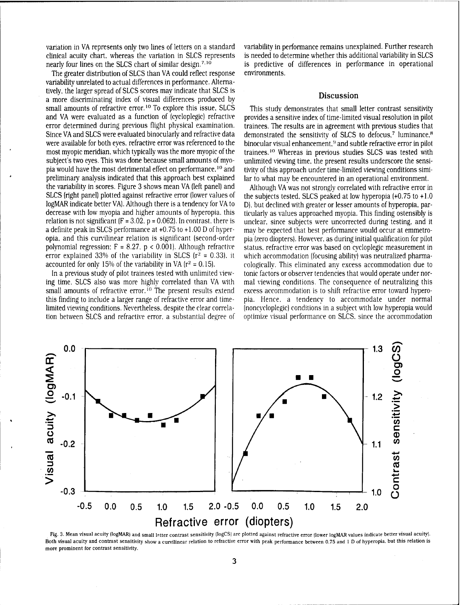variation in VA represents only two lines of letters on a standard clinical acuity chart, whereas the variation in SLCS represents nearly four lines on the SLCS chart of similar design.<sup>7.10</sup>

The greater distribution of SLCS than VA could reflect response variability unrelated to actual differences in performance. Alternatively, the larger spread of SLCS scores may indicate that SLCS is a more discriminating index of visual differences produced by small amounts of refractive error.<sup>10</sup> To explore this issue. SLCS and VA were evaluated as a function of (cycloplegic) refractive error determined during previous flight physical examination. Since VA and SLCS were evaluated binocularly and refractive data were available for both eyes, refractive error was referenced to the most myopic meridian, which typically was the more myopic of the subject's two eyes. This was done because small amounts of myopia would have the most detrimental effect on performance.<sup>10</sup> and preliminary analysis indicated that this approach best explained the variability in scores. Figure 3 shows mean VA (left panel) and SLCS (right panel) plotted against refractive error (lower values of logMAR indicate better VA). Although there is a tendency for VA to decrease with low myopia and higher amounts of hyperopia. this relation is not significant  $(F = 3.02, p = 0.062)$ . In contrast, there is a definite peak in SLCS performance at +0.75 to +1.00 D of hyperopia. and this curvilinear relation is significant (second-order polynomial regression:  $F = 8.27$ ,  $p < 0.001$ ). Although refractive error explained 33% of the variability in SLCS ( $r^2 = 0.33$ ). it accounted for only 15% of the variability in VA ( $r^2 = 0.15$ ).

In a previous study of pilot trainees tested with unlimited viewing time. SLCS also was more highly correlated than VA with small amounts of refractive error.<sup>10</sup> The present results extend this finding to include a larger range of refractive error and timelimited viewing conditions. Nevertheless, despite the clear correlation between SLCS and refractive error, a substantial degree of variability in performance remains unexplained. Further research is needed to determine whether this additional variability in SLCS is predictive of differences in performance in operational environments.

### **Discussion**

This study demonstrates that small letter contrast sensitivity provides a sensitive index of time-limited visual resolution in pilot trainees. The results are in agreement with previous studies that demonstrated the sensitivity of SLCS to defocus,<sup>7</sup> luminance,<sup>8</sup> binocular visual enhancement,<sup>9</sup> and subtle refractive error in pilot trainees.<sup>10</sup> Whereas in previous studies SLCS was tested with unlimited viewing time, the present results underscore the sensitivity of this approach under time-limited viewing conditions similar to what may be encountered in an operational environment.

Although VA was not strongly correlated with refractive error in the subjects tested. SLCS peaked at low hyperopia  $(+0.75 \text{ to } +1.0$ D), but declined with greater or lesser amounts of hyperopia. particularly as values approached myopia. This finding ostensibly is unclear, since subjects were uncorrected during testing, and it may be expected that best performance would occur at emmetropia (zero diopters). However, as during initial qualification for pilot status, refractive error was based on cycloplegic measurement in which accommodation (focusing ability) was neutralized pharmacologically. This eliminated any excess accommodation due to tonic factors or observer tendencies that would operate under normal viewing conditions. The consequence of neutralizing this excess accommodation is to shift refractive error toward hyperopia. Hence, a tendency to accommodate under normal (noncycloplegic) conditions in a subject with low hyperopia would optimize visual performance on SLCS. since the accommodation



Fig. 3. Mean visual acuity (logMARI and small letter contrast sensitivity (logCS] are plotted against refractive error (lower logMAR values indicate better visual acuity). Both visual acuity and contrast sensitivity show a curvilinear relation to refractive error with peak performance between 0.75 and <sup>1</sup> D of hyperopia. but this relation is more prominent for contrast sensitivity.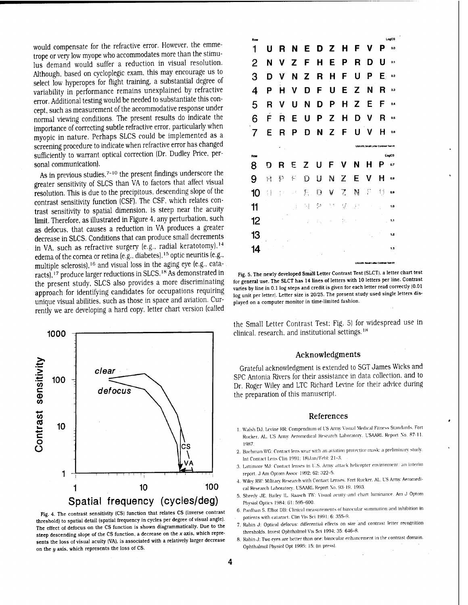would compensate for the refractive error. However, the emmetrope or very low myope who accommodates more than the stimulus demand would suffer a reduction in visual resolution. Although, based on cycloplegic exam, this may encourage us to select low hyperopes for flight training, a substantial degree of variability in performance remains unexplained by refractive error. Additional testing would be needed to substantiate this concept, such as measurement of the accommodative response under normal viewing conditions. The present results do indicate the importance of correcting subtle refractive error, particularly when myopic in nature. Perhaps SLCS could be implemented as a screening procedure to indicate when refractive error has changed sufficiently to warrant optical correction (Dr. Dudley Price, personal communication).

As in previous studies, $^{7\textrm{--}10}$  the present findings underscore the greater sensitivity of SLCS than VA to factors that affect visual resolution. This is due to the precipitous, descending slope of the contrast sensitivity function (CSF). The CSF, which relates contrast sensitivity to spatial dimension, is steep near the acuity **limit.** Therefore, as illustrated in Figure 4, any perturbation, such as defocus, that causes a reduction in VA produces a greater decrease in SLCS. Conditions that can produce small decrements in VA. such as refractive surgery (e.g.. radial keratotomy).<sup>14</sup>  $\frac{1}{2}$  and  $\frac{1}{2}$  is the cornea or retina (e.g., diabetes).<sup>15</sup> optic neuritis (e.g., multiple sclerosis).<sup>16</sup> and visual loss in the aging eye (e.g., catamatapre ecrossis, the contract of SLCS.<sup>18</sup> As demonstrated in the present study, SLCS also provides a more discriminating approach for identifying candidates for occupations requiring unique visual abilities, such as those in space and aviation. Currently we are developing a hard copy, letter chart version (called



**Fig. 4. The contract sensitivity (CS) function that relates CS (inverse contrast threshold) to spatial detail (spatial frequency in cycles per degree of visual angle). The effect of defocus on the CS function is shown diagrammatically. Due to the steep descending slope of the CS function, a decrease on the** *x* **axis, which represents the loss of visual acuity (VA), is associated with a relatively larger decrease on the <sup>u</sup> axis, which represents the loss of CS.**

| Row |    |        |            |     |           |                                      |                |    |                                             |    | LogCS |
|-----|----|--------|------------|-----|-----------|--------------------------------------|----------------|----|---------------------------------------------|----|-------|
| 1   | U  | R      | N          | E.  |           | D Z                                  | н              | F  | v                                           | Р  | 0.0   |
| 2   | N  | v      | Z          | F   | н         | E                                    | P              | R  | D                                           | U  | 0.1   |
| 3   | D  | V      | N          | Z   | R         | н                                    | F              | U  | P                                           | E. | 0.2   |
| 4   | Р  | н      | v          | D   | F         | U                                    | E              | Z  | N                                           | R  | 0.3   |
| 5   | R  | v      | Ħ          | N   | D         | P                                    | н              | Z  | E                                           | F  | 0.4   |
| 6   | F  | R      | E          | U   | Ρ         | $\mathsf{Z}^{\scriptscriptstyle{0}}$ | н              | D  | v                                           | R  | 0.5   |
| 7   | Ε  | R      | Р          | ח   | 'N        | Z                                    | F              | U  | v                                           | н  | 0.6   |
|     |    |        |            |     |           |                                      |                |    | <b>USAARL Small Letter Contrast Test #1</b> |    |       |
|     |    |        |            |     |           |                                      |                |    |                                             |    |       |
| Row |    |        |            |     |           |                                      |                |    |                                             |    | LouCS |
| 8   | D  | R      | E          | Z   | U         | F                                    | v              | N  | н                                           | Р  | 0.7   |
| 9   | H  | P      | È,         | D   | U         | N                                    | Z              | E  | v                                           | Н  | 0.8   |
| 10  | 11 | ţ<br>÷ | $\mu^{-1}$ | Е.  | О         | ٧                                    | $\overline{z}$ | N  | P                                           | 1j | 0.9   |
| 11  |    |        | ÷          | 5.J | ξ,        | 14                                   | V.             | Į, |                                             |    | 1.0   |
| 12  |    |        |            | ĵ   | i.        |                                      | th.            |    |                                             |    | 1.1   |
| 13  |    |        |            |     |           |                                      |                |    |                                             |    | 1.2   |
| 14  |    |        |            |     | $\hat{I}$ |                                      |                |    |                                             |    | 1.3   |

**Fig. 5. The newly developed Small Letter Contrast Test (SLCT), a letter chart test for general use. The SLCT has 14 lines of letters with 10 letters per line. Contrast varies by line in 0.1 log steps and credit is given for each letter read correctly (0.01 log unit per letter). Letter size is 20/25. The present study used single letters displayed on a computer monitor in time-limited fashion.**

the Small Letter Contrast Test: Fig. 5) for widespread use in clinical, research, and institutional settings.<sup>18</sup>

## **Acknowledgments**

Grateful acknowledgment is extended to SGT James Wicks and SPC Antonia Rivers for their assistance in data collection, and to Dr. Roger Wiley and LTC Richard Levine for their advice during the preparation of this manuscript.

#### **References**

- 1. Walsh DJ. Levine RR: Compendium oI'L'S Army Visual Medical Fitness Standards. Fort Rucker. AL. US Army Aeromedical Research Laboratory. USAARL Report No. 87-11. 1987.
- 2. Bachman \VG: Contact lens wear with an aviation protective mask: a preliminary study. Int Contact Lens Clin 1991: 18(Jan/Febl: 21-3.
- 3. Ltttimore MJ: Contact lenses in L'.S. Army attack helicopter environment: an interim report. J Am Optom Assoe 1992: 62: 322-5.
- 4. Wiley RW: Military Research with Contact Lenses. Fort Rueker. AL. L'S Army Aeromedical Research Laboratory. USAARL Report No. 93-19. 1993.
- 5. Sheedy JE. Bailev IL. Raasch TO': Visual acuity -and chart luminance. Am J Optom Physiol Optics 1984: 61: 595-600.
- 6. Pardhan S. Elliot DB: Clinical measurements of binocular summation and inhibition in . patients with cataract. Clin Vis Sei 1991: 6: 355-9.
- 7. Rabin J: Optical defocus: differential effects on size and contrast letter recognition thresholds. Invest Ophthalmol Vis Sei 1994: 35: 646-8.
- 8. Rabin J: Two eves are better than one: binocular enhancement in the contrast domain. Ophthalmol Physiol Opt 1995: 15: (in pressl.